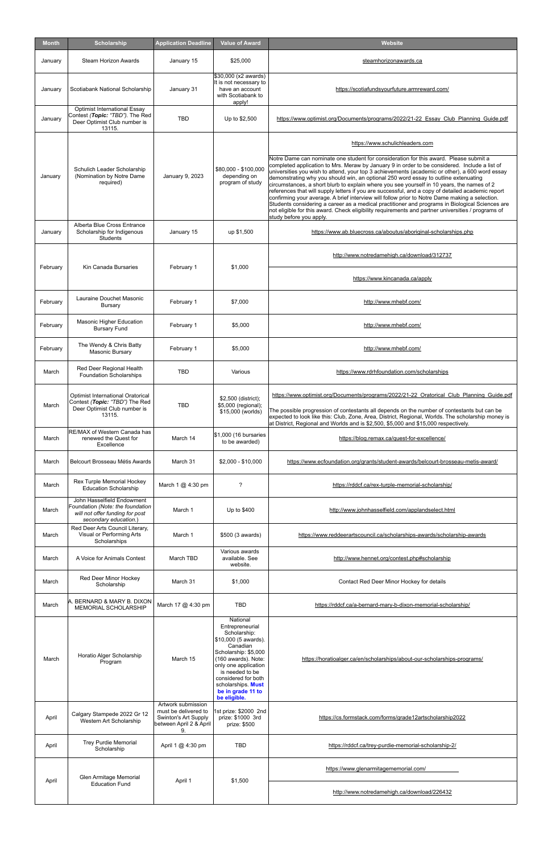| <b>Month</b> | <b>Scholarship</b>                                                                                                         | <b>Application Deadline</b> | <b>Value of Award</b>                                                                             | <b>Website</b>                                                                                                                                                                                                                                                                                                                                                                                                                                                                                                                                                                                                                                                                                                                                                                                                                                                                                                                                              |
|--------------|----------------------------------------------------------------------------------------------------------------------------|-----------------------------|---------------------------------------------------------------------------------------------------|-------------------------------------------------------------------------------------------------------------------------------------------------------------------------------------------------------------------------------------------------------------------------------------------------------------------------------------------------------------------------------------------------------------------------------------------------------------------------------------------------------------------------------------------------------------------------------------------------------------------------------------------------------------------------------------------------------------------------------------------------------------------------------------------------------------------------------------------------------------------------------------------------------------------------------------------------------------|
| January      | Steam Horizon Awards                                                                                                       | January 15                  | \$25,000                                                                                          | steamhorizonawards.ca                                                                                                                                                                                                                                                                                                                                                                                                                                                                                                                                                                                                                                                                                                                                                                                                                                                                                                                                       |
| January      | Scotiabank National Scholarship                                                                                            | January 31                  | \$30,000 (x2 awards)<br>It is not necessary to<br>have an account<br>with Scotiabank to<br>apply! | https://scotiafundsyourfuture.armreward.com/                                                                                                                                                                                                                                                                                                                                                                                                                                                                                                                                                                                                                                                                                                                                                                                                                                                                                                                |
| January      | <b>Optimist International Essay</b><br>Contest (Topic: "TBD"). The Red<br>Deer Optimist Club number is<br>13115.           | <b>TBD</b>                  | Up to \$2,500                                                                                     | https://www.optimist.org/Documents/programs/2022/21-22 Essay Club Planning Guide.pdf                                                                                                                                                                                                                                                                                                                                                                                                                                                                                                                                                                                                                                                                                                                                                                                                                                                                        |
| January      | Schulich Leader Scholarship<br>(Nomination by Notre Dame<br>required)                                                      | January 9, 2023             | \$80,000 - \$100,000<br>depending on<br>program of study                                          | https://www.schulichleaders.com<br>Notre Dame can nominate one student for consideration for this award. Please submit a<br>completed application to Mrs. Meraw by January 9 in order to be considered. Include a list of<br>universities you wish to attend, your top 3 achievements (academic or other), a 600 word essay<br>demonstrating why you should win, an optional 250 word essay to outline extenuating<br>circumstances, a short blurb to explain where you see yourself in 10 years, the names of 2<br>references that will supply letters if you are successful, and a copy of detailed academic report<br>confirming your average. A brief interview will follow prior to Notre Dame making a selection.<br>Students considering a career as a medical practitioner and programs in Biological Sciences are<br>not eligible for this award. Check eligibility requirements and partner universities / programs of<br>study before you apply. |
| January      | Alberta Blue Cross Entrance<br>Scholarship for Indigenous<br>Students                                                      | January 15                  | up \$1,500                                                                                        | https://www.ab.bluecross.ca/aboutus/aboriginal-scholarships.php                                                                                                                                                                                                                                                                                                                                                                                                                                                                                                                                                                                                                                                                                                                                                                                                                                                                                             |
| February     | Kin Canada Bursaries                                                                                                       | February 1                  | \$1,000                                                                                           | http://www.notredamehigh.ca/download/312737                                                                                                                                                                                                                                                                                                                                                                                                                                                                                                                                                                                                                                                                                                                                                                                                                                                                                                                 |
|              |                                                                                                                            |                             |                                                                                                   | https://www.kincanada.ca/apply                                                                                                                                                                                                                                                                                                                                                                                                                                                                                                                                                                                                                                                                                                                                                                                                                                                                                                                              |
| February     | Lauraine Douchet Masonic<br><b>Bursary</b>                                                                                 | February 1                  | \$7,000                                                                                           | http://www.mhebf.com/                                                                                                                                                                                                                                                                                                                                                                                                                                                                                                                                                                                                                                                                                                                                                                                                                                                                                                                                       |
| February     | <b>Masonic Higher Education</b><br><b>Bursary Fund</b>                                                                     | February 1                  | \$5,000                                                                                           | http://www.mhebf.com/                                                                                                                                                                                                                                                                                                                                                                                                                                                                                                                                                                                                                                                                                                                                                                                                                                                                                                                                       |
| February     | The Wendy & Chris Batty<br>Masonic Bursary                                                                                 | February 1                  | \$5,000                                                                                           | http://www.mhebf.com/                                                                                                                                                                                                                                                                                                                                                                                                                                                                                                                                                                                                                                                                                                                                                                                                                                                                                                                                       |
| March        | Red Deer Regional Health<br><b>Foundation Scholarships</b>                                                                 | <b>TBD</b>                  | Various                                                                                           | https://www.rdrhfoundation.com/scholarships                                                                                                                                                                                                                                                                                                                                                                                                                                                                                                                                                                                                                                                                                                                                                                                                                                                                                                                 |
| March        | Optimist International Oratorical<br>Contest (Topic: "TBD") The Red<br>Deer Optimist Club number is<br>13115.              | <b>TBD</b>                  | \$2,500 (district);<br>\$5,000 (regional);<br>\$15,000 (worlds)                                   | https://www.optimist.org/Documents/programs/2022/21-22 Oratorical Club Planning Guide.pdf<br>The possible progression of contestants all depends on the number of contestants but can be<br>expected to look like this: Club, Zone, Area, District, Regional, Worlds. The scholarship money is<br>at District, Regional and Worlds and is \$2,500, \$5,000 and \$15,000 respectively.                                                                                                                                                                                                                                                                                                                                                                                                                                                                                                                                                                       |
| March        | RE/MAX of Western Canada has<br>renewed the Quest for<br>Excellence                                                        | March 14                    | \$1,000 (16 bursaries<br>to be awarded)                                                           | https://blog.remax.ca/quest-for-excellence/                                                                                                                                                                                                                                                                                                                                                                                                                                                                                                                                                                                                                                                                                                                                                                                                                                                                                                                 |
| March        | Belcourt Brosseau Métis Awards                                                                                             | March 31                    | $$2,000 - $10,000$                                                                                | https://www.ecfoundation.org/grants/student-awards/belcourt-brosseau-metis-award/                                                                                                                                                                                                                                                                                                                                                                                                                                                                                                                                                                                                                                                                                                                                                                                                                                                                           |
| March        | Rex Turple Memorial Hockey<br><b>Education Scholarship</b>                                                                 | March 1 @ 4:30 pm           | ?                                                                                                 | https://rddcf.ca/rex-turple-memorial-scholarship/                                                                                                                                                                                                                                                                                                                                                                                                                                                                                                                                                                                                                                                                                                                                                                                                                                                                                                           |
| March        | John Hasselfield Endowment<br>Foundation (Note: the foundation<br>will not offer funding for post<br>secondary education.) | March 1                     | Up to \$400                                                                                       | http://www.johnhasselfield.com/applandselect.html                                                                                                                                                                                                                                                                                                                                                                                                                                                                                                                                                                                                                                                                                                                                                                                                                                                                                                           |
| March        | Red Deer Arts Council Literary,<br>Visual or Performing Arts<br>Scholarships                                               | March 1                     | \$500 (3 awards)                                                                                  | https://www.reddeerartscouncil.ca/scholarships-awards/scholarship-awards                                                                                                                                                                                                                                                                                                                                                                                                                                                                                                                                                                                                                                                                                                                                                                                                                                                                                    |
| March        | A Voice for Animals Contest                                                                                                | March TBD                   | Various awards<br>available. See<br>website.                                                      | http://www.hennet.org/contest.php#scholarship                                                                                                                                                                                                                                                                                                                                                                                                                                                                                                                                                                                                                                                                                                                                                                                                                                                                                                               |
| March        | Red Deer Minor Hockey<br>Scholarship                                                                                       | March 31                    | \$1,000                                                                                           | Contact Red Deer Minor Hockey for details                                                                                                                                                                                                                                                                                                                                                                                                                                                                                                                                                                                                                                                                                                                                                                                                                                                                                                                   |
| March        | A. BERNARD & MARY B. DIXON<br>MEMORIAL SCHOLARSHIP                                                                         | March 17 @ 4:30 pm          | <b>TBD</b><br>National<br>Entrepreneurial                                                         | https://rddcf.ca/a-bernard-mary-b-dixon-memorial-scholarship/                                                                                                                                                                                                                                                                                                                                                                                                                                                                                                                                                                                                                                                                                                                                                                                                                                                                                               |

| March | Horatio Alger Scholarship<br>Program                   | March 15                                                                                            | Scholarship:<br>\$10,000 (5 awards).<br>Canadian<br>Scholarship: \$5,000<br>(160 awards). Note:<br>only one application<br>is needed to be<br>considered for both<br>scholarships <b>Must</b><br>be in grade 11 to<br>be eligible. | https://horatioalger.ca/en/scholarships/about-our-scholarships-programs/ |
|-------|--------------------------------------------------------|-----------------------------------------------------------------------------------------------------|------------------------------------------------------------------------------------------------------------------------------------------------------------------------------------------------------------------------------------|--------------------------------------------------------------------------|
| April | Calgary Stampede 2022 Gr 12<br>Western Art Scholarship | Artwork submission<br>must be delivered to<br>Swinton's Art Supply<br>between April 2 & April<br>9. | 1st prize: \$2000 2nd<br>prize: \$1000 3rd<br>prize: \$500                                                                                                                                                                         | https://cs.formstack.com/forms/grade12artscholarship2022                 |
| April | <b>Trey Purdie Memorial</b><br>Scholarship             | April 1 $@$ 4:30 pm                                                                                 | <b>TBD</b>                                                                                                                                                                                                                         | https://rddcf.ca/trey-purdie-memorial-scholarship-2/                     |
|       | Glen Armitage Memorial                                 | April 1                                                                                             | \$1,500                                                                                                                                                                                                                            | https://www.glenarmitagememorial.com/                                    |
| April | <b>Education Fund</b>                                  |                                                                                                     |                                                                                                                                                                                                                                    | http://www.notredamehigh.ca/download/226432                              |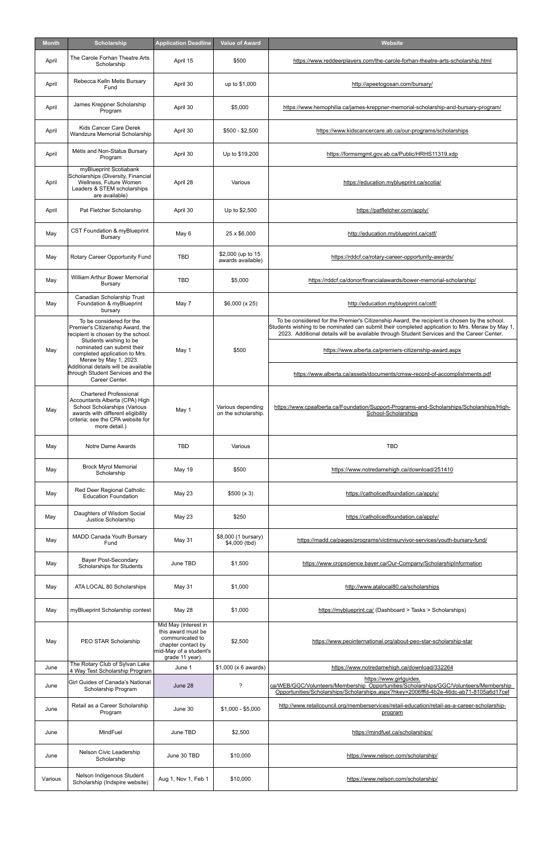| Month   | <b>Scholarship</b>                                                                                                                                                                         | <b>Application Deadline</b>                                                                                                      | <b>Value of Award</b>                    | <b>Website</b>                                                                                                                                                                                                                                                                                |
|---------|--------------------------------------------------------------------------------------------------------------------------------------------------------------------------------------------|----------------------------------------------------------------------------------------------------------------------------------|------------------------------------------|-----------------------------------------------------------------------------------------------------------------------------------------------------------------------------------------------------------------------------------------------------------------------------------------------|
| April   | The Carole Forhan Theatre Arts<br>Scholarship                                                                                                                                              | April 15                                                                                                                         | \$500                                    | https://www.reddeerplayers.com/the-carole-forhan-theatre-arts-scholarship.html                                                                                                                                                                                                                |
| April   | Rebecca Kelln Metis Bursary<br>Fund                                                                                                                                                        | April 30                                                                                                                         | up to \$1,000                            | http://apeetogosan.com/bursary/                                                                                                                                                                                                                                                               |
| April   | James Kreppner Scholarship<br>Program                                                                                                                                                      | April 30                                                                                                                         | \$5,000                                  | https://www.hemophilia.ca/james-kreppner-memorial-scholarship-and-bursary-program/                                                                                                                                                                                                            |
| April   | Kids Cancer Care Derek<br>Wandzura Memorial Scholarship                                                                                                                                    | April 30                                                                                                                         | \$500 - \$2.500                          | https://www.kidscancercare.ab.ca/our-programs/scholarships                                                                                                                                                                                                                                    |
| April   | Métis and Non-Status Bursary<br>Program                                                                                                                                                    | April 30                                                                                                                         | Up to \$19,200                           | https://formsmgmt.gov.ab.ca/Public/HRHS11319.xdp                                                                                                                                                                                                                                              |
| April   | myBlueprint Scotiabank<br>Scholarships (Diversity, Financial<br>Wellness, Future Women<br>Leaders & STEM scholarships<br>are available)                                                    | April 28                                                                                                                         | Various                                  | https://education.myblueprint.ca/scotia/                                                                                                                                                                                                                                                      |
| April   | Pat Fletcher Scholarship                                                                                                                                                                   | April 30                                                                                                                         | Up to \$2,500                            | https://patfletcher.com/apply/                                                                                                                                                                                                                                                                |
| May     | CST Foundation & myBlueprint<br>Bursary                                                                                                                                                    | May 6                                                                                                                            | 25 x \$6,000                             | http://education.myblueprint.ca/cstf/                                                                                                                                                                                                                                                         |
| May     | Rotary Career Opportunity Fund                                                                                                                                                             | <b>TBD</b>                                                                                                                       | \$2,000 (up to 15<br>awards available)   | https://rddcf.ca/rotary-career-opportunity-awards/                                                                                                                                                                                                                                            |
| May     | <b>William Arthur Bower Memorial</b><br><b>Bursary</b>                                                                                                                                     | <b>TBD</b>                                                                                                                       | \$5,000                                  | https://rddcf.ca/donor/financialawards/bower-memorial-scholarship/                                                                                                                                                                                                                            |
| May     | Canadian Scholarship Trust<br>Foundation & myBlueprint<br>bursary                                                                                                                          | May 7                                                                                                                            | \$6,000 (x 25)                           | http://education.myblueprint.ca/cstf/                                                                                                                                                                                                                                                         |
|         | To be considered for the<br>Premier's Citizenship Award, the<br>recipient is chosen by the school.                                                                                         |                                                                                                                                  |                                          | To be considered for the Premier's Citizenship Award, the recipient is chosen by the school.<br>Students wishing to be nominated can submit their completed application to Mrs. Meraw by May 1,<br>2023. Additional details will be available through Student Services and the Career Center. |
| May     | Students wishing to be<br>nominated can submit their<br>completed application to Mrs.                                                                                                      | May 1                                                                                                                            | \$500                                    | https://www.alberta.ca/premiers-citizenship-award.aspx                                                                                                                                                                                                                                        |
|         | Meraw by May 1, 2023.<br>Additional details will be available<br>through Student Services and the<br>Career Center.                                                                        |                                                                                                                                  |                                          | https://www.alberta.ca/assets/documents/cmsw-record-of-accomplishments.pdf                                                                                                                                                                                                                    |
| May     | <b>Chartered Professional</b><br>Accountants Alberta (CPA) High<br>School Scholarships (Various<br>awards with different eligibility<br>criteria; see the CPA website for<br>more detail.) | May 1                                                                                                                            | Various depending<br>on the scholarship. | https://www.cpaalberta.ca/Foundation/Support-Programs-and-Scholarships/Scholarships/High-<br>School-Scholarships                                                                                                                                                                              |
| May     | Notre Dame Awards                                                                                                                                                                          | <b>TBD</b>                                                                                                                       | Various                                  | <b>TBD</b>                                                                                                                                                                                                                                                                                    |
| May     | <b>Brock Myrol Memorial</b><br>Scholarship                                                                                                                                                 | May 19                                                                                                                           | \$500                                    | https://www.notredamehigh.ca/download/251410                                                                                                                                                                                                                                                  |
| May     | Red Deer Regional Catholic<br><b>Education Foundation</b>                                                                                                                                  | May 23                                                                                                                           | \$500 (x 3)                              | https://catholicedfoundation.ca/apply/                                                                                                                                                                                                                                                        |
| May     | Daughters of Wisdom Social<br>Justice Scholarship                                                                                                                                          | May 23                                                                                                                           | \$250                                    | https://catholicedfoundation.ca/apply/                                                                                                                                                                                                                                                        |
| May     | MADD Canada Youth Bursary<br>Fund                                                                                                                                                          | May 31                                                                                                                           | \$8,000 (1 bursary)<br>\$4,000 (tbd)     | https://madd.ca/pages/programs/victimsurvivor-services/youth-bursary-fund/                                                                                                                                                                                                                    |
| May     | <b>Bayer Post-Secondary</b><br>Scholarships for Students                                                                                                                                   | June TBD                                                                                                                         | \$1,500                                  | https://www.cropscience.bayer.ca/Our-Company/ScholarshipInformation                                                                                                                                                                                                                           |
| May     | ATA LOCAL 80 Scholarships                                                                                                                                                                  | May 31                                                                                                                           | \$1,000                                  | http://www.atalocal80.ca/scholarships                                                                                                                                                                                                                                                         |
| May     | myBlueprint Scholarship contest                                                                                                                                                            | May 28                                                                                                                           | \$1,000                                  | https://myblueprint.ca/ (Dashboard > Tasks > Scholarships)                                                                                                                                                                                                                                    |
| May     | PEO STAR Scholarship                                                                                                                                                                       | Mid May (interest in<br>this award must be<br>communicated to<br>chapter contact by<br>mid-May of a student's<br>grade 11 year). | \$2,500                                  | https://www.peointernational.org/about-peo-star-scholarship-star                                                                                                                                                                                                                              |
| June    | The Rotary Club of Sylvan Lake<br>4 Way Test Scholarship Program                                                                                                                           | June 1                                                                                                                           | \$1,000 (x 6 awards)                     | https://www.notredamehigh.ca/download/332264                                                                                                                                                                                                                                                  |
| June    | Girl Guides of Canada's National<br>Scholarship Program                                                                                                                                    | June 28                                                                                                                          | $\tilde{?}$                              | https://www.girlguides.<br>ca/WEB/GGC/Volunteers/Membership Opportunities/Scholarships/GGC/Volunteers/Membership<br>Opportunities/Scholarships/Scholarships.aspx?hkey=2006fffd-4b2e-46dc-ab71-8105a6d17cef                                                                                    |
| June    | Retail as a Career Scholarship<br>Program                                                                                                                                                  | June 30                                                                                                                          | $$1,000 - $5,000$                        | http://www.retailcouncil.org/memberservices/retail-education/retail-as-a-career-scholarship-<br>program                                                                                                                                                                                       |
| June    | MindFuel                                                                                                                                                                                   | June TBD                                                                                                                         | \$2,500                                  | https://mindfuel.ca/scholarships/                                                                                                                                                                                                                                                             |
| June    | Nelson Civic Leadership<br>Scholarship                                                                                                                                                     | June 30 TBD                                                                                                                      | \$10,000                                 | https://www.nelson.com/scholarship/                                                                                                                                                                                                                                                           |
| Various | Nelson Indigenous Student<br>Scholarship (Indspire website)                                                                                                                                | Aug 1, Nov 1, Feb 1                                                                                                              | \$10,000                                 | https://www.nelson.com/scholarship/                                                                                                                                                                                                                                                           |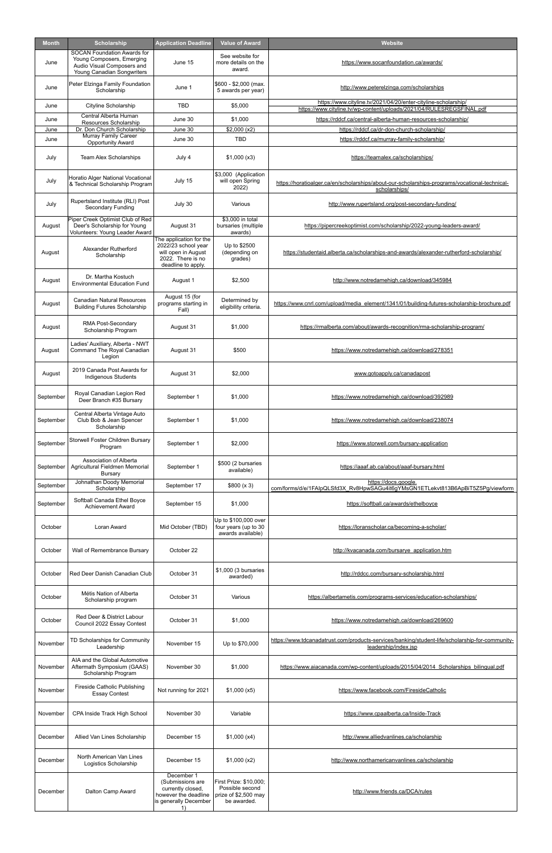| Month     | Scholarship                                                                                                                 | <b>Application Deadline</b>                                                                                      | <b>Value of Award</b>                                                            | <b>Website</b>                                                                                                                          |
|-----------|-----------------------------------------------------------------------------------------------------------------------------|------------------------------------------------------------------------------------------------------------------|----------------------------------------------------------------------------------|-----------------------------------------------------------------------------------------------------------------------------------------|
| June      | <b>SOCAN Foundation Awards for</b><br>Young Composers, Emerging<br>Audio Visual Composers and<br>Young Canadian Songwriters | June 15                                                                                                          | See website for<br>more details on the<br>award.                                 | https://www.socanfoundation.ca/awards/                                                                                                  |
| June      | Peter Elzinga Family Foundation<br>Scholarship                                                                              | June 1                                                                                                           | \$600 - \$2,000 (max.<br>5 awards per year)                                      | http://www.peterelzinga.com/scholarships                                                                                                |
| June      | Cityline Scholarship                                                                                                        | <b>TBD</b>                                                                                                       | \$5,000                                                                          | https://www.cityline.tv/2021/04/20/enter-cityline-scholarship/<br>https://www.cityline.tv/wp-content/uploads/2021/04/RULESREGSFINAL.pdf |
| June      | Central Alberta Human<br>Resources Scholarship                                                                              | June 30                                                                                                          | \$1,000                                                                          | https://rddcf.ca/central-alberta-human-resources-scholarship/                                                                           |
| June      | Dr. Don Church Scholarship                                                                                                  | June 30                                                                                                          | \$2,000(x2)                                                                      | https://rddcf.ca/dr-don-church-scholarship/                                                                                             |
| June      | Murray Family Career<br><b>Opportunity Award</b>                                                                            | June 30                                                                                                          | <b>TBD</b>                                                                       | https://rddcf.ca/murray-family-scholarship/                                                                                             |
| July      | Team Alex Scholarships                                                                                                      | July 4                                                                                                           | \$1,000(x3)                                                                      | https://teamalex.ca/scholarships/                                                                                                       |
| July      | Horatio Alger National Vocational<br>& Technical Scholarship Program                                                        | July 15                                                                                                          | \$3,000 (Application<br>will open Spring<br>2022)                                | https://horatioalger.ca/en/scholarships/about-our-scholarships-programs/vocational-technical-<br>scholarships/                          |
| July      | Rupertsland Institute (RLI) Post<br>Secondary Funding                                                                       | July 30                                                                                                          | Various                                                                          | http://www.rupertsland.org/post-secondary-funding/                                                                                      |
| August    | Piper Creek Optimist Club of Red<br>Deer's Scholarship for Young<br>Volunteers: Young Leader Award                          | August 31                                                                                                        | \$3,000 in total<br>bursaries (multiple<br>awards)                               | https://pipercreekoptimist.com/scholarship/2022-young-leaders-award/                                                                    |
| August    | Alexander Rutherford<br>Scholarship                                                                                         | The application for the<br>2022/23 school year<br>will open in August<br>2022. There is no<br>deadline to apply. | Up to \$2500<br>(depending on<br>grades)                                         | https://studentaid.alberta.ca/scholarships-and-awards/alexander-rutherford-scholarship/                                                 |
| August    | Dr. Martha Kostuch<br><b>Environmental Education Fund</b>                                                                   | August 1                                                                                                         | \$2,500                                                                          | http://www.notredamehigh.ca/download/345984                                                                                             |
| August    | <b>Canadian Natural Resources</b><br><b>Building Futures Scholarship</b>                                                    | August 15 (for<br>programs starting in<br>Fall)                                                                  | Determined by<br>eligibility criteria.                                           | https://www.cnrl.com/upload/media_element/1341/01/building-futures-scholarship-brochure.pdf                                             |
| August    | RMA Post-Secondary<br>Scholarship Program                                                                                   | August 31                                                                                                        | \$1,000                                                                          | https://rmalberta.com/about/awards-recognition/rma-scholarship-program/                                                                 |
| August    | Ladies' Auxiliary, Alberta - NWT<br>Command The Royal Canadian<br>Legion                                                    | August 31                                                                                                        | \$500                                                                            | https://www.notredamehigh.ca/download/278351                                                                                            |
| August    | 2019 Canada Post Awards for<br><b>Indigenous Students</b>                                                                   | August 31                                                                                                        | \$2,000                                                                          | www.gotoapply.ca/canadapost                                                                                                             |
| September | Royal Canadian Legion Red<br>Deer Branch #35 Bursary                                                                        | September 1                                                                                                      | \$1,000                                                                          | https://www.notredamehigh.ca/download/392989                                                                                            |
| September | Central Alberta Vintage Auto<br>Club Bob & Jean Spencer<br>Scholarship                                                      | September 1                                                                                                      | \$1,000                                                                          | https://www.notredamehigh.ca/download/238074                                                                                            |
| September | Storwell Foster Children Bursary<br>Program                                                                                 | September 1                                                                                                      | \$2,000                                                                          | https://www.storwell.com/bursary-application                                                                                            |
| September | Association of Alberta<br>Agricultural Fieldmen Memorial<br>Bursary                                                         | September 1                                                                                                      | \$500 (2 bursaries<br>available)                                                 | https://aaaf.ab.ca/about/aaaf-bursary.html                                                                                              |
| September | Johnathan Doody Memorial<br>Scholarship                                                                                     | September 17                                                                                                     | \$800 (x 3)                                                                      | https://docs.google.<br>com/forms/d/e/1FAIpQLSfd3X_Rv8HpwSAGu4it6qYMsGN1ETLekvt813B6ApBiT5Z5Pg/viewform                                 |
| September | Softball Canada Ethel Boyce<br><b>Achievement Award</b>                                                                     | September 15                                                                                                     | \$1,000                                                                          | https://softball.ca/awards/ethelboyce                                                                                                   |
| October   | Loran Award                                                                                                                 | Mid October (TBD)                                                                                                | Up to \$100,000 over<br>four years (up to 30<br>awards available)                | https://loranscholar.ca/becoming-a-scholar/                                                                                             |
| October   | Wall of Remembrance Bursary                                                                                                 | October 22                                                                                                       |                                                                                  | http://kvacanada.com/bursarye_application.htm                                                                                           |
| October   | Red Deer Danish Canadian Club                                                                                               | October 31                                                                                                       | \$1,000 (3 bursaries<br>awarded)                                                 | http://rddcc.com/bursary-scholarship.html                                                                                               |
| October   | Métis Nation of Alberta<br>Scholarship program                                                                              | October 31                                                                                                       | Various                                                                          | https://albertametis.com/programs-services/education-scholarships/                                                                      |
| October   | Red Deer & District Labour<br>Council 2022 Essay Contest                                                                    | October 31                                                                                                       | \$1,000                                                                          | https://www.notredamehigh.ca/download/269600                                                                                            |
| November  | TD Scholarships for Community<br>Leadership                                                                                 | November 15                                                                                                      | Up to \$70,000                                                                   | https://www.tdcanadatrust.com/products-services/banking/student-life/scholarship-for-community-<br>leadership/index.jsp                 |
| November  | AIA and the Global Automotive<br>Aftermath Symposium (GAAS)<br>Scholarship Program                                          | November 30                                                                                                      | \$1,000                                                                          | https://www.aiacanada.com/wp-content/uploads/2015/04/2014 Scholarships bilingual.pdf                                                    |
| November  | Fireside Catholic Publishing<br><b>Essay Contest</b>                                                                        | Not running for 2021                                                                                             | \$1,000 (x5)                                                                     | https://www.facebook.com/FiresideCatholic                                                                                               |
| November  | CPA Inside Track High School                                                                                                | November 30                                                                                                      | Variable                                                                         | https://www.cpaalberta.ca/Inside-Track                                                                                                  |
| December  | Allied Van Lines Scholarship                                                                                                | December 15                                                                                                      | \$1,000(x4)                                                                      | http://www.alliedvanlines.ca/scholarship                                                                                                |
| December  | North American Van Lines<br>Logistics Scholarship                                                                           | December 15                                                                                                      | \$1,000 (x2)                                                                     | http://www.northamericanvanlines.ca/scholarship                                                                                         |
| December  | Dalton Camp Award                                                                                                           | December 1<br>(Submissions are<br>currently closed,<br>however the deadline<br>is generally December<br>1)       | First Prize: \$10,000;<br>Possible second<br>prize of \$2,500 may<br>be awarded. | http://www.friends.ca/DCA/rules                                                                                                         |